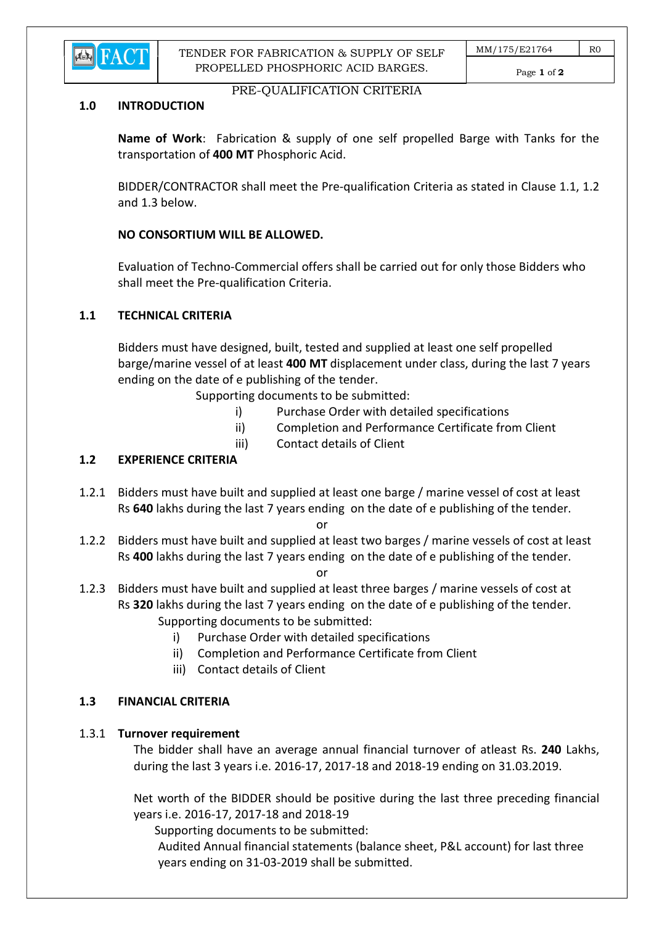

TENDER FOR FABRICATION & SUPPLY OF SELF PROPELLED PHOSPHORIC ACID BARGES.

Page 1 of 2

#### PRE-QUALIFICATION CRITERIA

#### 1.0 INTRODUCTION

Name of Work: Fabrication & supply of one self propelled Barge with Tanks for the transportation of 400 MT Phosphoric Acid.

 BIDDER/CONTRACTOR shall meet the Pre-qualification Criteria as stated in Clause 1.1, 1.2 and 1.3 below.

### NO CONSORTIUM WILL BE ALLOWED.

 Evaluation of Techno-Commercial offers shall be carried out for only those Bidders who shall meet the Pre-qualification Criteria.

#### 1.1 TECHNICAL CRITERIA

 Bidders must have designed, built, tested and supplied at least one self propelled barge/marine vessel of at least 400 MT displacement under class, during the last 7 years ending on the date of e publishing of the tender.

Supporting documents to be submitted:

- i) Purchase Order with detailed specifications
- ii) Completion and Performance Certificate from Client
- iii) Contact details of Client

### 1.2 EXPERIENCE CRITERIA

1.2.1 Bidders must have built and supplied at least one barge / marine vessel of cost at least Rs 640 lakhs during the last 7 years ending on the date of e publishing of the tender.

**or** and the state of the state of the state of the state of the state of the state of the state of the state of the state of the state of the state of the state of the state of the state of the state of the state of the s

1.2.2 Bidders must have built and supplied at least two barges / marine vessels of cost at least Rs 400 lakhs during the last 7 years ending on the date of e publishing of the tender.

**or** and the contract of the contract of the contract of the contract of the contract of the contract of the contract of the contract of the contract of the contract of the contract of the contract of the contract of the c

- 1.2.3 Bidders must have built and supplied at least three barges / marine vessels of cost at Rs 320 lakhs during the last 7 years ending on the date of e publishing of the tender. Supporting documents to be submitted:
	- i) Purchase Order with detailed specifications
	- ii) Completion and Performance Certificate from Client
	- iii) Contact details of Client

#### 1.3 FINANCIAL CRITERIA

#### 1.3.1 Turnover requirement

 The bidder shall have an average annual financial turnover of atleast Rs. 240 Lakhs, during the last 3 years i.e. 2016-17, 2017-18 and 2018-19 ending on 31.03.2019.

 Net worth of the BIDDER should be positive during the last three preceding financial years i.e. 2016-17, 2017-18 and 2018-19

Supporting documents to be submitted:

 Audited Annual financial statements (balance sheet, P&L account) for last three years ending on 31-03-2019 shall be submitted.